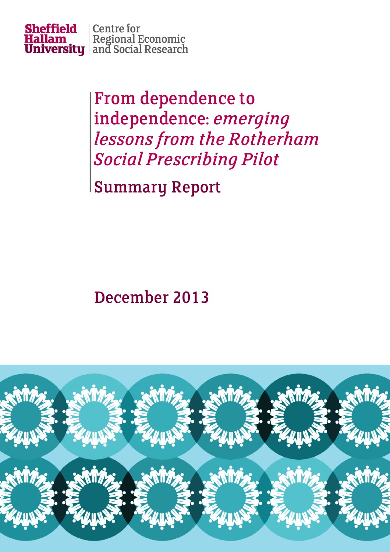

From dependence to independence: *emerging lessons from the Rotherham Social Prescribing Pilot*

Summary Report

## December 2013

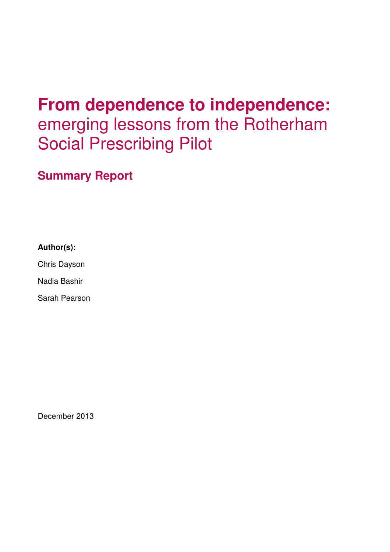# **From dependence to independence:**  emerging lessons from the Rotherham Social Prescribing Pilot

**Summary Report** 

**Author(s):** 

Chris Dayson

Nadia Bashir

Sarah Pearson

December 2013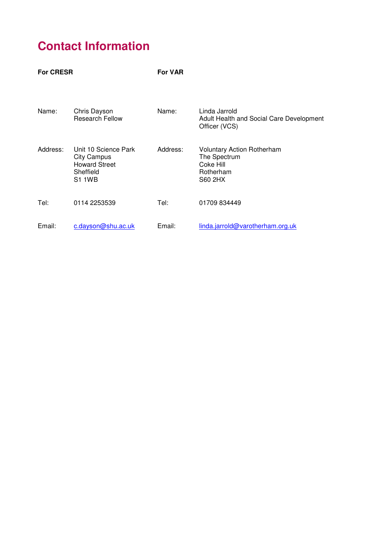## **Contact Information**

| <b>For CRESR</b> |                                                                                                  | <b>For VAR</b> |                                                                                               |
|------------------|--------------------------------------------------------------------------------------------------|----------------|-----------------------------------------------------------------------------------------------|
| Name:            | Chris Dayson<br><b>Research Fellow</b>                                                           | Name:          | Linda Jarrold<br>Adult Health and Social Care Development<br>Officer (VCS)                    |
| Address:         | Unit 10 Science Park<br><b>City Campus</b><br><b>Howard Street</b><br>Sheffield<br><b>S1 1WB</b> | Address:       | <b>Voluntary Action Rotherham</b><br>The Spectrum<br>Coke Hill<br>Rotherham<br><b>S60 2HX</b> |
| Tel:             | 0114 2253539                                                                                     | Tel:           | 01709 834449                                                                                  |
| Email:           | c.dayson@shu.ac.uk                                                                               | Email:         | linda.jarrold@varotherham.org.uk                                                              |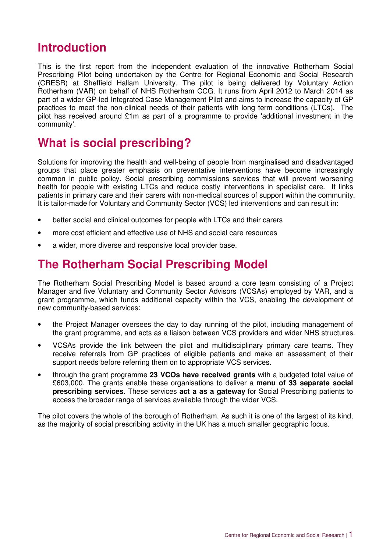### **Introduction**

This is the first report from the independent evaluation of the innovative Rotherham Social Prescribing Pilot being undertaken by the Centre for Regional Economic and Social Research (CRESR) at Sheffield Hallam University. The pilot is being delivered by Voluntary Action Rotherham (VAR) on behalf of NHS Rotherham CCG. It runs from April 2012 to March 2014 as part of a wider GP-led Integrated Case Management Pilot and aims to increase the capacity of GP practices to meet the non-clinical needs of their patients with long term conditions (LTCs). The pilot has received around £1m as part of a programme to provide 'additional investment in the community'.

### **What is social prescribing?**

Solutions for improving the health and well-being of people from marginalised and disadvantaged groups that place greater emphasis on preventative interventions have become increasingly common in public policy. Social prescribing commissions services that will prevent worsening health for people with existing LTCs and reduce costly interventions in specialist care. It links patients in primary care and their carers with non-medical sources of support within the community. It is tailor-made for Voluntary and Community Sector (VCS) led interventions and can result in:

- better social and clinical outcomes for people with LTCs and their carers
- more cost efficient and effective use of NHS and social care resources
- a wider, more diverse and responsive local provider base.

### **The Rotherham Social Prescribing Model**

The Rotherham Social Prescribing Model is based around a core team consisting of a Project Manager and five Voluntary and Community Sector Advisors (VCSAs) employed by VAR, and a grant programme, which funds additional capacity within the VCS, enabling the development of new community-based services:

- the Project Manager oversees the day to day running of the pilot, including management of the grant programme, and acts as a liaison between VCS providers and wider NHS structures.
- VCSAs provide the link between the pilot and multidisciplinary primary care teams. They receive referrals from GP practices of eligible patients and make an assessment of their support needs before referring them on to appropriate VCS services.
- through the grant programme **23 VCOs have received grants** with a budgeted total value of £603,000. The grants enable these organisations to deliver a **menu of 33 separate social prescribing services**. These services **act a as a gateway** for Social Prescribing patients to access the broader range of services available through the wider VCS.

The pilot covers the whole of the borough of Rotherham. As such it is one of the largest of its kind, as the majority of social prescribing activity in the UK has a much smaller geographic focus.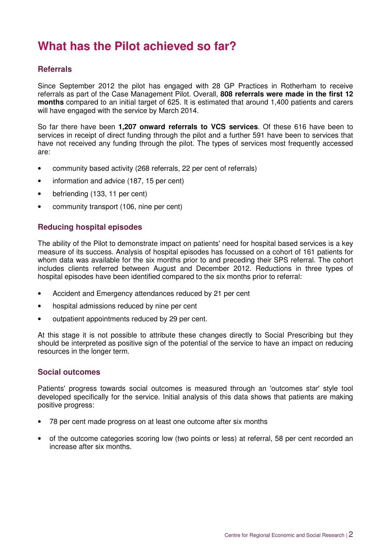### **What has the Pilot achieved so far?**

### **Referrals**

Since September 2012 the pilot has engaged with 28 GP Practices in Rotherham to receive referrals as part of the Case Management Pilot. Overall, **808 referrals were made in the first 12 months** compared to an initial target of 625. It is estimated that around 1,400 patients and carers will have engaged with the service by March 2014.

So far there have been **1,207 onward referrals to VCS services**. Of these 616 have been to services in receipt of direct funding through the pilot and a further 591 have been to services that have not received any funding through the pilot. The types of services most frequently accessed are:

- community based activity (268 referrals, 22 per cent of referrals)
- information and advice (187, 15 per cent)
- befriending (133, 11 per cent)
- community transport (106, nine per cent)

### **Reducing hospital episodes**

The ability of the Pilot to demonstrate impact on patients' need for hospital based services is a key measure of its success. Analysis of hospital episodes has focussed on a cohort of 161 patients for whom data was available for the six months prior to and preceding their SPS referral. The cohort includes clients referred between August and December 2012. Reductions in three types of hospital episodes have been identified compared to the six months prior to referral:

- Accident and Emergency attendances reduced by 21 per cent
- hospital admissions reduced by nine per cent
- outpatient appointments reduced by 29 per cent.

At this stage it is not possible to attribute these changes directly to Social Prescribing but they should be interpreted as positive sign of the potential of the service to have an impact on reducing resources in the longer term.

#### **Social outcomes**

Patients' progress towards social outcomes is measured through an 'outcomes star' style tool developed specifically for the service. Initial analysis of this data shows that patients are making positive progress:

- 78 per cent made progress on at least one outcome after six months
- of the outcome categories scoring low (two points or less) at referral, 58 per cent recorded an increase after six months.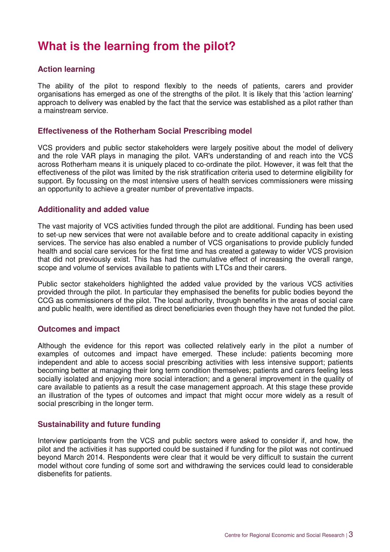### **What is the learning from the pilot?**

### **Action learning**

The ability of the pilot to respond flexibly to the needs of patients, carers and provider organisations has emerged as one of the strengths of the pilot. It is likely that this 'action learning' approach to delivery was enabled by the fact that the service was established as a pilot rather than a mainstream service.

#### **Effectiveness of the Rotherham Social Prescribing model**

VCS providers and public sector stakeholders were largely positive about the model of delivery and the role VAR plays in managing the pilot. VAR's understanding of and reach into the VCS across Rotherham means it is uniquely placed to co-ordinate the pilot. However, it was felt that the effectiveness of the pilot was limited by the risk stratification criteria used to determine eligibility for support. By focussing on the most intensive users of health services commissioners were missing an opportunity to achieve a greater number of preventative impacts.

#### **Additionality and added value**

The vast majority of VCS activities funded through the pilot are additional. Funding has been used to set-up new services that were not available before and to create additional capacity in existing services. The service has also enabled a number of VCS organisations to provide publicly funded health and social care services for the first time and has created a gateway to wider VCS provision that did not previously exist. This has had the cumulative effect of increasing the overall range, scope and volume of services available to patients with LTCs and their carers.

Public sector stakeholders highlighted the added value provided by the various VCS activities provided through the pilot. In particular they emphasised the benefits for public bodies beyond the CCG as commissioners of the pilot. The local authority, through benefits in the areas of social care and public health, were identified as direct beneficiaries even though they have not funded the pilot.

#### **Outcomes and impact**

Although the evidence for this report was collected relatively early in the pilot a number of examples of outcomes and impact have emerged. These include: patients becoming more independent and able to access social prescribing activities with less intensive support; patients becoming better at managing their long term condition themselves; patients and carers feeling less socially isolated and enjoying more social interaction; and a general improvement in the quality of care available to patients as a result the case management approach. At this stage these provide an illustration of the types of outcomes and impact that might occur more widely as a result of social prescribing in the longer term.

#### **Sustainability and future funding**

Interview participants from the VCS and public sectors were asked to consider if, and how, the pilot and the activities it has supported could be sustained if funding for the pilot was not continued beyond March 2014. Respondents were clear that it would be very difficult to sustain the current model without core funding of some sort and withdrawing the services could lead to considerable disbenefits for patients.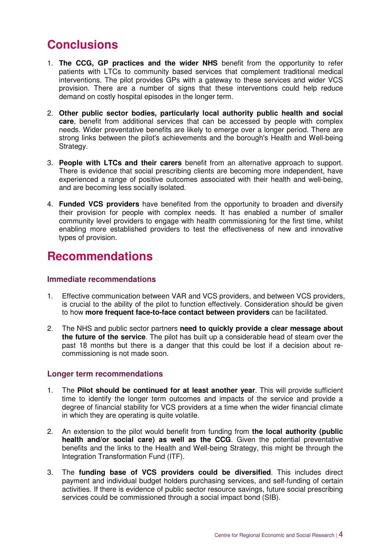### **Conclusions**

- 1. **The CCG, GP practices and the wider NHS** benefit from the opportunity to refer patients with LTCs to community based services that complement traditional medical interventions. The pilot provides GPs with a gateway to these services and wider VCS provision. There are a number of signs that these interventions could help reduce demand on costly hospital episodes in the longer term.
- 2. **Other public sector bodies, particularly local authority public health and social care**, benefit from additional services that can be accessed by people with complex needs. Wider preventative benefits are likely to emerge over a longer period. There are strong links between the pilot's achievements and the borough's Health and Well-being Strategy.
- 3. **People with LTCs and their carers** benefit from an alternative approach to support. There is evidence that social prescribing clients are becoming more independent, have experienced a range of positive outcomes associated with their health and well-being, and are becoming less socially isolated.
- 4. **Funded VCS providers** have benefited from the opportunity to broaden and diversify their provision for people with complex needs. It has enabled a number of smaller community level providers to engage with health commissioning for the first time, whilst enabling more established providers to test the effectiveness of new and innovative types of provision.

### **Recommendations**

#### **Immediate recommendations**

- 1. Effective communication between VAR and VCS providers, and between VCS providers, is crucial to the ability of the pilot to function effectively. Consideration should be given to how **more frequent face-to-face contact between providers** can be facilitated.
- 2. The NHS and public sector partners **need to quickly provide a clear message about the future of the service**. The pilot has built up a considerable head of steam over the past 18 months but there is a danger that this could be lost if a decision about recommissioning is not made soon.

#### **Longer term recommendations**

- 1. The **Pilot should be continued for at least another year**. This will provide sufficient time to identify the longer term outcomes and impacts of the service and provide a degree of financial stability for VCS providers at a time when the wider financial climate in which they are operating is quite volatile.
- 2. An extension to the pilot would benefit from funding from **the local authority (public health and/or social care) as well as the CCG**. Given the potential preventative benefits and the links to the Health and Well-being Strategy, this might be through the Integration Transformation Fund (ITF).
- 3. The **funding base of VCS providers could be diversified**. This includes direct payment and individual budget holders purchasing services, and self-funding of certain activities. If there is evidence of public sector resource savings, future social prescribing services could be commissioned through a social impact bond (SIB).